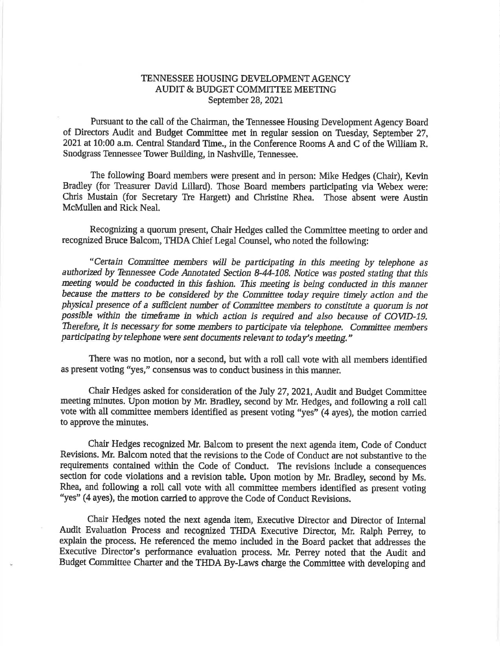## TENNESSEE HOUSING DEVELOPMENT AGENCY AUDIT & BUDGET COMMITTEE MEETING September 28, 2021

Pursuant to the call of the Chairman, the Tennessee Housing Development Agency Board of Directors Audit and Budget Committee met in regular session on Tuesday, September 27, 2021 at 10:00 a.m. Central Standard Time., in the Conference Rooms A and C of the William R. Snodgrass Tennessee Tower Building, in Nashville, Tennessee.

The following Board members were present and in person: Mike Hedges (Chair), Kevin Bradley (for Treasurer David Lillard). Those Board members participating via Webex were: Chris Mustain (for Secretary Tre Hargett) and Christine Rhea. Those absent were Austin McMullen and Rick Neal.

Recognizing a quorum present, Chair Hedges called the Committee meeting to order and recognized Bruce Balcom, THDA Chief Legal Counsel, who noted the following:

"Certain Committee members will be participating in this meeting by telephone as authorized by Tennessee Code Annotated Section 8-44-108. Notice was posted stating that this meeting would be conducted in this fashion. This meeting is being conducted in this manner because the matters to be considered by the Committee today require timely action and the physical presence of a sufficient number of Committee members to constitute a quorum is not possible within the timeframe in which action is required and also because of COVID-19. Therefore, it is necessary for some members to participate via telephone. Committee members participating by telephone were sent documents relevant to today's meeting."

There was no motion, nor a second, but with a roll call vote with all members identified as present voting "yes," consensus was to conduct business in this manner.

Chair Hedges asked for consideration of the July 27, 2021, Audit and Budget Committee meeting minutes. Upon motion by Mr. Bradley, second by Mr. Hedges, and following a roll call vote with all committee members identified as present voting "yes" (4 ayes), the motion carried to approve the minutes.

Chair Hedges recognized Mr. Balcom to present the next agenda item, Code of Conduct Revisions. Mr. Balcom noted that the revisions to the Code of Conduct are not substantive to the requirements contained within the Code of Conduct. The revisions include a consequences section for code violations and a revision table. Upon motion by Mr. Bradley, second by Ms. Rhea, and following a roll call vote with all committee members identified as present voting "yes" (4 ayes), the motion carried to approve the Code of Conduct Revisions.

Chair Hedges noted the next agenda item, Executive Director and Director of Internal Audit Evaluation Process and recognized THDA Executive Director, Mr. Ralph Perrey, to explain the process. He referenced the memo included in the Board packet that addresses the Executive Director's performance evaluation process. Mr. Perrey noted that the Audit and Budget Committee Charter and the THDA By-Laws charge the Committee with developing and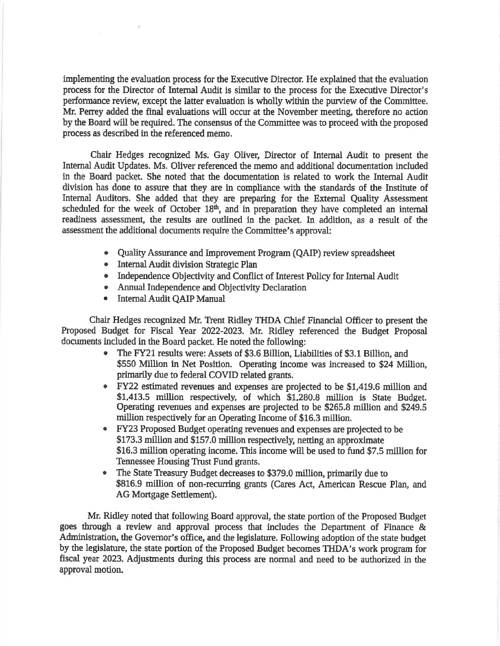implementing the evaluation process for the Executive Director. He explained that the evaluation process for the Director of Internal Audit is similar to the process for the Executive Director's performance review, except the latter evaluation is wholly within the purview of the Committee. Mr. Perrey added the final evaluations will occur at the November meeting, therefore no action by the Board will be required. The consensus of the Committee was to proceed with the proposed process as described in the referenced memo.

Chair Hedges recognized Ms. Gay Oliver, Director of Internal Audit to present the Internal Audit Updates. Ms. Oliver referenced the memo and additional documentation induded in the Board packet. She noted that the documentation is related to work the Intemal Audit division has done to assure that they are in compliance with the standards of the Institute of Internal Auditors. She added that they are preparing for the Extemal Quality Assessment scheduled for the week of October  $18<sup>th</sup>$ , and in preparation they have completed an internal readiness assessment, the results are outlined in the packet. In addition, as a result of the assessment the additional documents require the Committee's approval:

- o QualityAssurance and Improvement Prograrn (QAIP) review spreadsheet
- Internal Audit division Strategic Plan
- Independence Objectivity and Conflict of Interest Policy for Internal Audit
- Annual Independence and Objectivity Declaration
- Internal Audit QAIP Manual

 $\mathbf{V}$ 

Chair Hedges recognized Mr, Trent Ridley THDA Chief Financial Officer to present the Proposed Budget for Fiscal Year 2022-2023. Mr. Ridley referenced the Budget Proposal documents included in the Board packet. He noted the following:

- e The FY2L results were: Assets of \$3.6 Billion, Liabilities of \$3.1" Billion, and \$550 Million in Net Position. Operating income was increased to \$24 Million, primarily due to federal COVID related grants.
- r FY22 estimated revenues and erpenses are projected to be \$1,419.6 million and \$1,413.5 million respectively, of which \$1,280.8 million is State Budget. Operating revenues and expenses are projected to be \$265.8 million and \$249.5 million respectively for an Operating Income of \$16.3 million.
- r FY23 Proposed Budget operating revenues and expenses are projected to be \$173.3 million and \$157.0 million respectively, netting an approximate \$16.3 million operating income. This income will be used to fund \$7,5 million for Tennessee Housing Trust Fund grants.
- The State Treasury Budget decreases to \$379.0 million, primarily due to \$816.9 million of non-recurring grants (Cares Act, American Rescue Plan, and AG Mortgage Settlement).

Mr. Ridley noted that following Board approval, the state portion of the Proposed Budget goes through a review and approval process that includes the Department of Finance & Administration, the Governor's office, and the legislature. Following adoption of the state budget by the legislature, the state portion of the Proposed Budget becomes THDA's work program for fiscal year 2023. Adjustments during this process are normal and need to be authorized in the approval motion.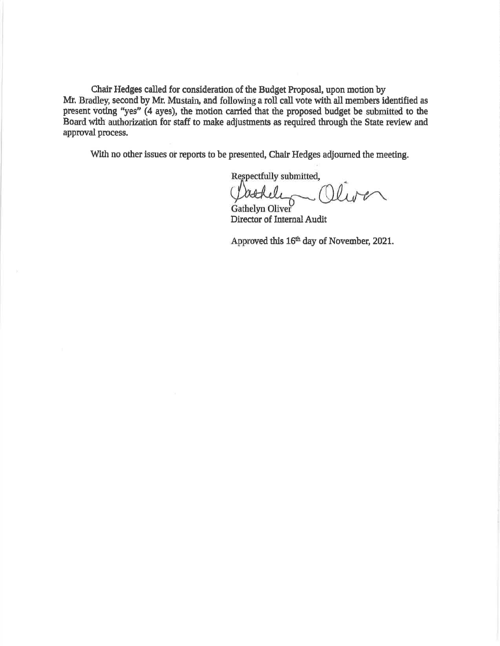Chair Hedges called for consideration of the Budget Proposal, upon motion by Mr. Bradley, second by Mr. Mustain, and following a roll call vote with all members identified as present voting "yes" (4 ayes), the motion carried that the proposed budget be submitted to the Board with authorization for staff to make adjustments as required through the State review and approval process.

With no other issues or reports to be presented, Chair Hedges adjourned the meeting.

Respectfully submitted,

Cathele -Oliver

Director of Internal Audit

Approved this 16<sup>th</sup> day of November, 2021.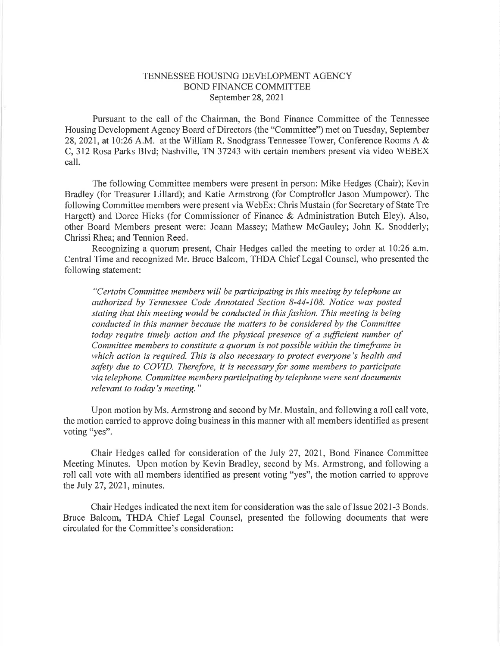## TENNESSEE HOUSING DEVELOPMENT AGENCY BOND FINANCE COMMITTEE September 28,2021

Pursuant to the call of the Chairman, the Bond Finance Committee of the Tennessee Housing Development Agency Board of Directors (the "Committee") met on Tuesday, September 28,202I, at 10:26 A.M. at the William R. Snodgrass Tennessee Tower, Conference Rooms A & C, 312 Rosa Parks Blvd; Nashville, TN 37243 with certain members present via video WEBEX call.

The following Committee members were present in person: Mike Hedges (Chair); Kevin Bradley (for Treasurer Lillard); and Katie Armstrong (for Comptroller Jason Mumpower). The following Committee members were present via WebEx: Chris Mustain (for Secretary of State Tre Hargett) and Doree Hicks (for Commissioner of Finance & Administration Butch Eley). Also, other Board Members present were: Joann Massey; Mathew McGauley; John K. Snodderly; Chrissi Rhea; and Tennion Reed.

Recognizing a quorum present, Chair Hedges called the meeting to order at 10:26 a.m. Central Time and recognized Mr. Bruce Balcom, THDA Chief Legal Counsel, who presented the following statement:

"Certain Committee members will be participating in this meeting by telephone as authorized by Tennessee Code Annotated Section 8-44-108. Notice was posted stating that this meeting would be conducted in this fashion. This meeting is being conducted in this manner because the matters to be considered by the Committee today require timely action and the physical presence of a sufficient number of Committee members to constitute a quorum is not possible within the timeframe in which action is required. This is also necessary to protect everyone's health and safety due to COVID. Therefore, it is necessary for some members to participate via telephone. Committee members participating by telephone were sent documents relevant to today's meeting."

Upon motion by Ms. Armstrong and second by Mr. Mustain, and following a roll call vote, the motion carried to approve doing business in this manner with all members identified as present voting "yes".

Chair Hedges called for consideration of the luly 27,2021, Bond Finance Committee Meeting Minutes. Upon motion by Kevin Bradley, second by Ms. Armstrong, and following a roll call vote with all members identified as present voting "yes", the motion carried to approve the July 27, 2021, minutes.

Chair Hedges indicated the next item for consideration was the sale of Issue 2021-3 Bonds. Bruce Balcom, THDA Chief Legal Counsel, presented the following documents that were circulated for the Committee's consideration: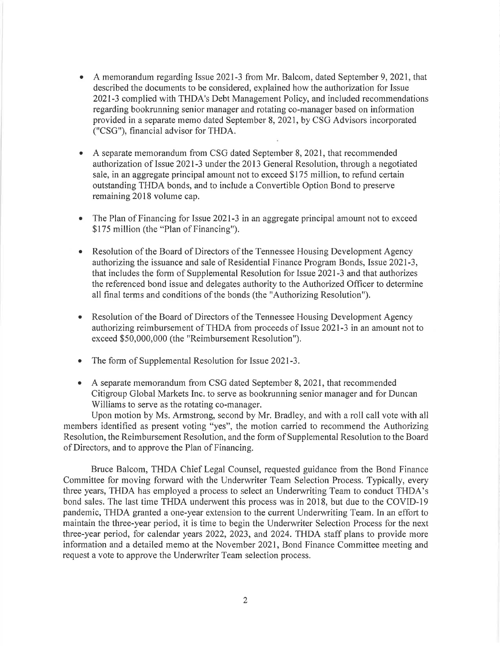- a A memorandum regarding Issue 2021-3 from Mr. Balcom, dated September 9, 2021, that described the documents to be considered, explained how the authorization for Issue 2021-3 complied with THDA's Debt Management Policy, and included recommendations regarding bookrunning senior manager and rotating co-manager based on information provided in a separate memo dated September 8, 2021, by CSG Advisors incorporated ("CSG"), financial advisor for THDA.
- a A separate memorandum from CSG dated September 8,2021, that recommended authorization of Issue 2021-3 under the 2013 General Resolution, through a negotiated sale, in an aggregate principal amount not to exceed \$175 million, to refund certain outstanding THDA bonds, and to include a Convertible Option Bond to preserve remaining 2018 volume cap.
- a The Plan of Financing for Issue 2021-3 in an aggregate principal amount not to exceed \$175 million (the "Plan of Financing").
- a Resolution of the Board of Directors of the Tennessee Housing Development Agency authorizing the issuance and sale of Residential Finance Program Bonds, Issue 2021-3, that includes the form of Supplemental Resolution for Issue 2021-3 and that authorizes the referenced bond issue and delegates authority to the Authorized Officer to determine all final terms and conditions of the bonds (the "Authorizing Resolution").
- $\bullet$ Resolution of the Board of Directors of the Tennessee Housing Development Agency authorizing reimbursement of THDA from proceeds of Issue 2021-3 in an amount not to exceed \$50,000,000 (the "Reimbursement Resolution").
- a The form of Supplemental Resolution for Issue 2021-3.
- $\bullet$  A separate memorandum from CSG dated September 8, 2021, that recommended Citigroup Global Markets Inc. to serve as bookrunning senior manager and for Duncan Williams to serve as the rotating co-manager.

Upon motion by Ms. Armstrong, second by Mr. Bradley, and with a roll call vote with all members identified as present voting "yes", the motion carried to recommend the Authorizing Resolution, the Reimbursement Resolution, and the form of Supplemental Resolution to the Board of Directors, and to approve the Plan of Financing.

Bruce Balcom, THDA Chief Legal Counsel, requested guidance from the Bond Finance Committee for moving forward with the Underwriter Team Selection Process. Typically, every three years, THDA has employed a process to select an Underwriting Team to conduct THDA's bond sales. The last time THDA underwent this process was in 2018, but due to the COVID-I9 pandemic, THDA granted a one-year extension to the current Underwriting Team. In an effort to maintain the three-year period, it is time to begin the Underwriter Selection Process for the next three-year period, for calendar years 2022, 2023, and 2024. THDA staff plans to provide more information and a detailed memo at the November 2021, Bond Finance Committee meeting and request a vote to approve the Underwriter Team selection process.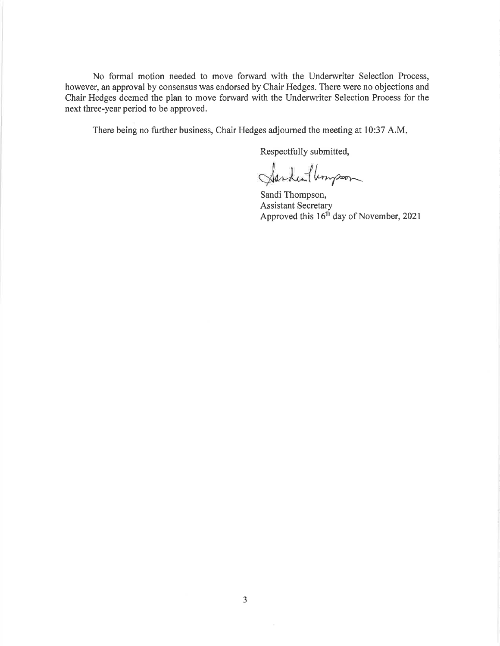No formal motion needed to move forward with the Underwriter Selection Process, however, an approval by consensus was endorsed by Chair Hedges. There were no objections and Chair Hedges deemed the plan to move forward with the Underwriter Selection Process for the next three-year period to be approved.

There being no further business, Chair Hedges adjourned the meeting at 10:37 A.M

Respectfully submitted,

Jarden Verysson

Sandi Thompson, Assistant Secretary Approved this  $16<sup>th</sup>$  day of November, 2021